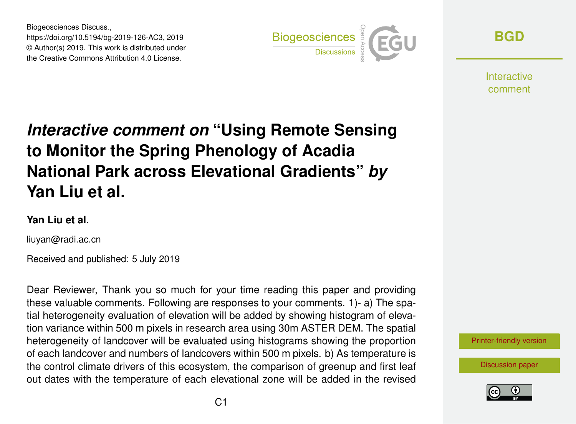Biogeosciences Discuss., https://doi.org/10.5194/bg-2019-126-AC3, 2019 © Author(s) 2019. This work is distributed under the Creative Commons Attribution 4.0 License.



**[BGD](https://www.biogeosciences-discuss.net/)**

**Interactive** comment

## *Interactive comment on* **"Using Remote Sensing to Monitor the Spring Phenology of Acadia National Park across Elevational Gradients"** *by* **Yan Liu et al.**

## **Yan Liu et al.**

liuyan@radi.ac.cn

Received and published: 5 July 2019

Dear Reviewer, Thank you so much for your time reading this paper and providing these valuable comments. Following are responses to your comments. 1)- a) The spatial heterogeneity evaluation of elevation will be added by showing histogram of elevation variance within 500 m pixels in research area using 30m ASTER DEM. The spatial heterogeneity of landcover will be evaluated using histograms showing the proportion of each landcover and numbers of landcovers within 500 m pixels. b) As temperature is the control climate drivers of this ecosystem, the comparison of greenup and first leaf out dates with the temperature of each elevational zone will be added in the revised



[Discussion paper](https://www.biogeosciences-discuss.net/bg-2019-126)

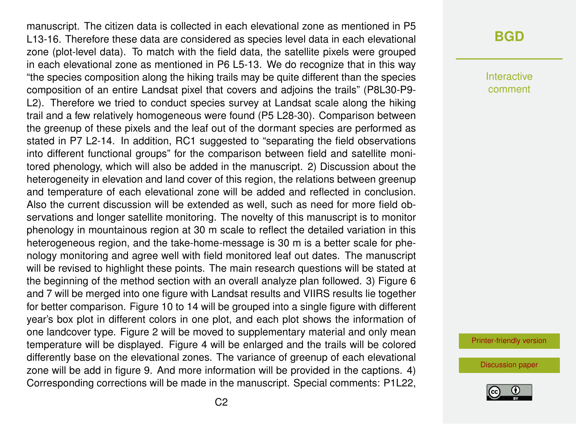manuscript. The citizen data is collected in each elevational zone as mentioned in P5 L13-16. Therefore these data are considered as species level data in each elevational zone (plot-level data). To match with the field data, the satellite pixels were grouped in each elevational zone as mentioned in P6 L5-13. We do recognize that in this way "the species composition along the hiking trails may be quite different than the species composition of an entire Landsat pixel that covers and adjoins the trails" (P8L30-P9- L2). Therefore we tried to conduct species survey at Landsat scale along the hiking trail and a few relatively homogeneous were found (P5 L28-30). Comparison between the greenup of these pixels and the leaf out of the dormant species are performed as stated in P7 L2-14. In addition, RC1 suggested to "separating the field observations into different functional groups" for the comparison between field and satellite monitored phenology, which will also be added in the manuscript. 2) Discussion about the heterogeneity in elevation and land cover of this region, the relations between greenup and temperature of each elevational zone will be added and reflected in conclusion. Also the current discussion will be extended as well, such as need for more field observations and longer satellite monitoring. The novelty of this manuscript is to monitor phenology in mountainous region at 30 m scale to reflect the detailed variation in this heterogeneous region, and the take-home-message is 30 m is a better scale for phenology monitoring and agree well with field monitored leaf out dates. The manuscript will be revised to highlight these points. The main research questions will be stated at the beginning of the method section with an overall analyze plan followed. 3) Figure 6 and 7 will be merged into one figure with Landsat results and VIIRS results lie together for better comparison. Figure 10 to 14 will be grouped into a single figure with different year's box plot in different colors in one plot, and each plot shows the information of one landcover type. Figure 2 will be moved to supplementary material and only mean temperature will be displayed. Figure 4 will be enlarged and the trails will be colored differently base on the elevational zones. The variance of greenup of each elevational zone will be add in figure 9. And more information will be provided in the captions. 4) Corresponding corrections will be made in the manuscript. Special comments: P1L22,

## **[BGD](https://www.biogeosciences-discuss.net/)**

Interactive comment

[Printer-friendly version](https://www.biogeosciences-discuss.net/bg-2019-126/bg-2019-126-AC3-print.pdf)

[Discussion paper](https://www.biogeosciences-discuss.net/bg-2019-126)